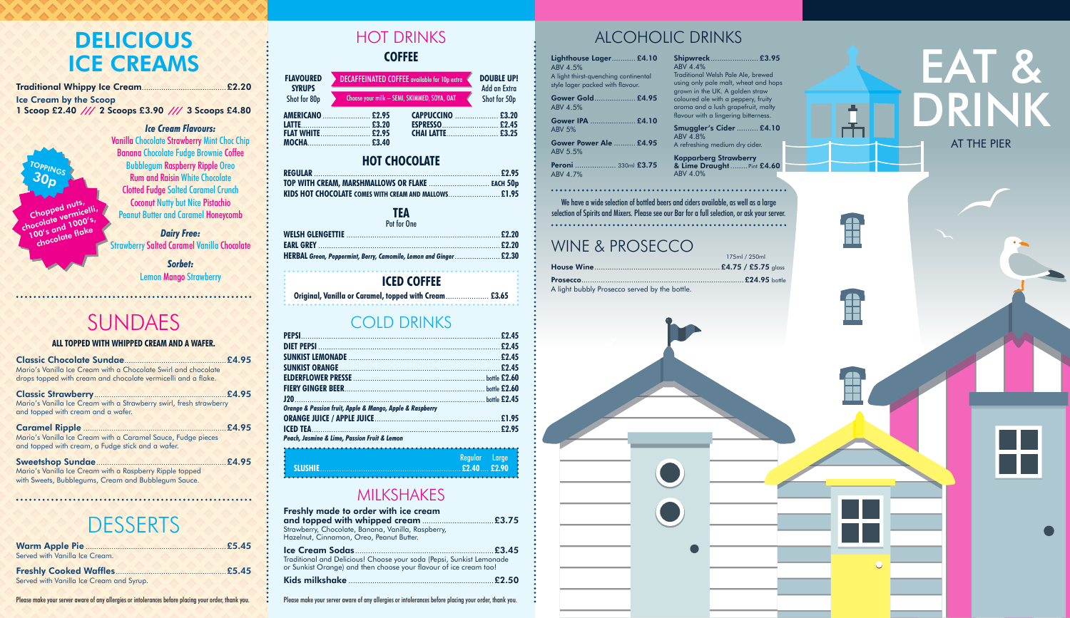### HOT DRINKS THE RESERVE ALCOHOLIC DRINKS **COFFEE**

### SUNDAES

#### **ALL TOPPED WITH WHIPPED CREAM AND A WAFER.**

| Mario's Vanilla Ice Cream with a Chocolate Swirl and chocolate                                                    |  |
|-------------------------------------------------------------------------------------------------------------------|--|
| drops topped with cream and chocolate vermicelli and a flake.                                                     |  |
| Mario's Vanilla Ice Cream with a Strawberry swirl, fresh strawberry<br>and topped with cream and a wafer.         |  |
| Mario's Vanilla Ice Cream with a Caramel Sauce, Fudge pieces<br>and topped with cream, a Fudge stick and a wafer. |  |

| Mario's Vanilla Ice Cream with a Raspberry Ripple topped |  |
|----------------------------------------------------------|--|
| with Sweets, Bubblegums, Cream and Bubblegum Sauce.      |  |

### **DESSERTS**

### **HOT CHOCOLATE**

| TOP WITH CREAM, MARSHMALLOWS OR FLAKE  EACH 50p       |  |
|-------------------------------------------------------|--|
| KIDS HOT CHOCOLATE COMES WITH CREAM AND MALLOWS £1.95 |  |

#### **TEA** Pot for One

| סווט ושו וטו                                                      |  |
|-------------------------------------------------------------------|--|
|                                                                   |  |
|                                                                   |  |
| HERBAL Green, Peppermint, Berry, Camomile, Lemon and Ginger £2.30 |  |

### MILKSHAKES

| Freshly made to order with ice cream<br>Strawberry, Chocolate, Banana, Vanilla, Raspberry,<br>Hazelnut, Cinnamon, Oreo, Peanut Butter.    |  |
|-------------------------------------------------------------------------------------------------------------------------------------------|--|
| Traditional and Delicious! Choose your soda (Pepsi, Sunkist Lemonade<br>or Sunkist Orange) and then choose your flavour of ice cream too! |  |
|                                                                                                                                           |  |

# EAT & DRINK AT THE PIER

### COLD DRINKS

#### **Shipwreck**...................... **£3.95**  $ABV$  4.4%

| Orange & Passion fruit, Apple & Mango, Apple & Raspberry |               |
|----------------------------------------------------------|---------------|
|                                                          |               |
|                                                          |               |
| Peach, Jasmine & Lime, Passion Fruit & Lemon             |               |
|                                                          | Regular Large |
| t                                                        |               |

**TOPPING 30p**

### **ICED COFFEE**

**Original, Vanilla or Caramel, topped with Cream**.................... **£3.65**

| DECAFFEINATED COFFEE available for 10p extra<br><b>FLAVOURED</b> |                                                                  |                                             |
|------------------------------------------------------------------|------------------------------------------------------------------|---------------------------------------------|
| <b>SYRUPS</b><br>Shot for 80p                                    |                                                                  | Add an Extra<br>Shot for 50p                |
|                                                                  |                                                                  |                                             |
|                                                                  |                                                                  |                                             |
|                                                                  | <b>AMERICANO</b> £2.95<br><b>FLAT WHITE £2.95</b><br>MOCHA £3.40 | Choose your milk - SEMI, SKIMMED, SOYA, OAT |

# 175ml / 250ml



Ê

Å

Д,

**Prosecco**...........................................................................**£24.95** bottle A light bubbly Prosecco served by the bottle.



| Lighthouse Lager £4.10<br>ABV 4.5%<br>A light thirst-quenching continental<br>style lager packed with flavour. | <b>Shipwreck £3.95</b><br>ABV 4.4%<br>Traditional Welsh Pale Ale, brewed<br>using only pale malt, wheat and hops<br>grown in the UK. A golden straw                                 |
|----------------------------------------------------------------------------------------------------------------|-------------------------------------------------------------------------------------------------------------------------------------------------------------------------------------|
| Gower Gold £4.95<br>ABV 4.5%                                                                                   | coloured ale with a peppery, fruity<br>aroma and a lush grapefruit, malty<br>flavour with a lingering bitterness.                                                                   |
| Gower IPA  £4.10<br><b>ABV 5%</b>                                                                              | <b>Smuggler's Cider  £4.10</b><br>ABV 4.8%                                                                                                                                          |
| Gower Power Ale  £4.95<br>ABV 5.5%                                                                             | A refreshing medium dry cider.                                                                                                                                                      |
| Peroni  330ml £3.75<br>ABV 4.7%                                                                                | <b>Kopparberg Strawberry</b><br>& Lime Draught Pint £4.60<br>ABV 4.0%                                                                                                               |
|                                                                                                                | We have a wide selection of bottled beers and ciders available, as well as a large<br>selection of Spirits and Mixers. Please see our Bar for a full selection, or ask your server. |
| WINE & PROSECCO                                                                                                | 175ml / 250ml                                                                                                                                                                       |
|                                                                                                                | £4.75 / £5.75 glass                                                                                                                                                                 |

 $AB'$ 

 $AB'$ 

#### **Smuggler's Cider** .......... **£4.10** ABV 4.8% A refreshing medium dry cider.

### weers and ciders available, as well as a large e our Bar for a full selection, or ask your server.

|  | $\overline{\mathbb{C}}$ |  |
|--|-------------------------|--|
|  |                         |  |

**Chopped nuts, chocolate vermicelli, 100's and 1000's, chocolate flake**



Vanilla Chocolate Strawberry Mint Choc Chip Banana Chocolate Fudge Brownie Coffee Bubblegum Raspberry Ripple Oreo Rum and Raisin White Chocolate Clotted Fudge Salted Caramel Crunch **Coconut Nutty but Nice Pistachio** Peanut Butter and Caramel Honeycomb

*Dairy Free:* Strawberry Salted Caramel Vanilla Chocolate

> *Sorbet:* Lemon Mango Strawberry

## **DELICIOUS ICE CREAMS**

| <b>Ice Cream by the Scoop</b>                       |  |
|-----------------------------------------------------|--|
| 1 Scoop £2.40 /// 2 Scoops £3.90 /// 3 Scoops £4.80 |  |

| Served with Vanilla Ice Cream.           |  |
|------------------------------------------|--|
|                                          |  |
| Served with Vanilla Ice Cream and Syrup. |  |

Please make your server aware of any allergies or intolerances before placing your order, thank you.<br>Please make your server aware of any allergies or intolerances before placing your order, thank you.<br>
The ase make your s